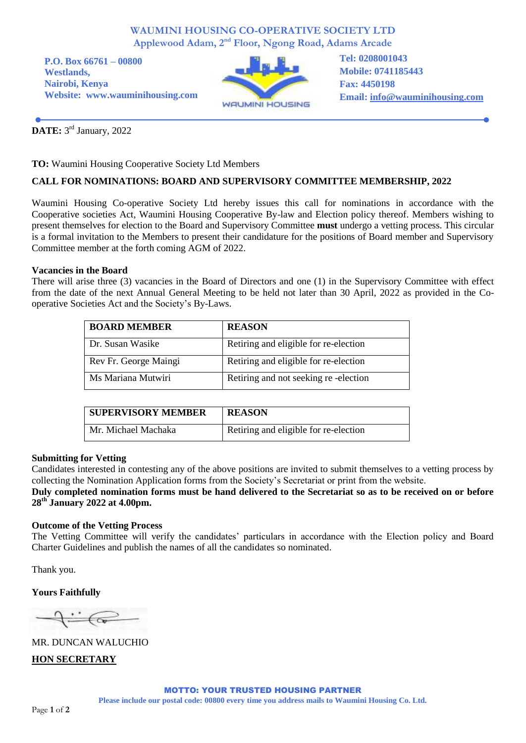#### **WAUMINI HOUSING CO-OPERATIVE SOCIETY LTD Applewood Adam, 2nd Floor, Ngong Road, Adams Arcade**

**P.O. Box 66761 – 00800 Westlands, Nairobi, Kenya Website: www.wauminihousing.com**



**Tel: 0208001043 Mobile: 0741185443 Fax: 4450198 Email: [info@wauminihousing.com](mailto:info@wauminihousing.com)**

**DATE:** 3<sup>rd</sup> January, 2022

**TO:** Waumini Housing Cooperative Society Ltd Members

### **CALL FOR NOMINATIONS: BOARD AND SUPERVISORY COMMITTEE MEMBERSHIP, 2022**

Waumini Housing Co-operative Society Ltd hereby issues this call for nominations in accordance with the Cooperative societies Act, Waumini Housing Cooperative By-law and Election policy thereof. Members wishing to present themselves for election to the Board and Supervisory Committee **must** undergo a vetting process. This circular is a formal invitation to the Members to present their candidature for the positions of Board member and Supervisory Committee member at the forth coming AGM of 2022.

#### **Vacancies in the Board**

There will arise three (3) vacancies in the Board of Directors and one (1) in the Supervisory Committee with effect from the date of the next Annual General Meeting to be held not later than 30 April, 2022 as provided in the Cooperative Societies Act and the Society's By-Laws.

| <b>BOARD MEMBER</b>   | <b>REASON</b>                         |
|-----------------------|---------------------------------------|
| Dr. Susan Wasike      | Retiring and eligible for re-election |
| Rev Fr. George Maingi | Retiring and eligible for re-election |
| Ms Mariana Mutwiri    | Retiring and not seeking re-election  |

| <b>SUPERVISORY MEMBER</b> | <b>REASON</b>                         |
|---------------------------|---------------------------------------|
| Mr. Michael Machaka       | Retiring and eligible for re-election |

#### **Submitting for Vetting**

Candidates interested in contesting any of the above positions are invited to submit themselves to a vetting process by collecting the Nomination Application forms from the Society's Secretariat or print from the website.

#### **Duly completed nomination forms must be hand delivered to the Secretariat so as to be received on or before 28 th January 2022 at 4.00pm.**

#### **Outcome of the Vetting Process**

The Vetting Committee will verify the candidates' particulars in accordance with the Election policy and Board Charter Guidelines and publish the names of all the candidates so nominated.

Thank you.

**Yours Faithfully**

 $\leftarrow$ 

MR. DUNCAN WALUCHIO **HON SECRETARY**